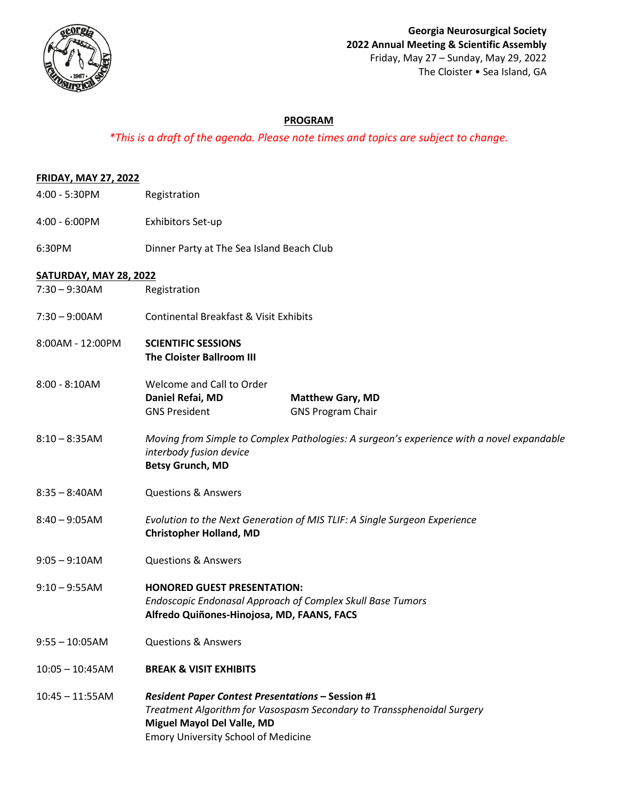

## **PROGRAM**

## *\*This is a draft of the agenda. Please note times and topics are subject to change.*

| <b>FRIDAY, MAY 27, 2022</b>   |                                                                                                                                                                                                                |
|-------------------------------|----------------------------------------------------------------------------------------------------------------------------------------------------------------------------------------------------------------|
| 4:00 - 5:30PM                 | Registration                                                                                                                                                                                                   |
| 4:00 - 6:00PM                 | Exhibitors Set-up                                                                                                                                                                                              |
| 6:30PM                        | Dinner Party at The Sea Island Beach Club                                                                                                                                                                      |
| <b>SATURDAY, MAY 28, 2022</b> |                                                                                                                                                                                                                |
| $7:30 - 9:30AM$               | Registration                                                                                                                                                                                                   |
| $7:30 - 9:00AM$               | <b>Continental Breakfast &amp; Visit Exhibits</b>                                                                                                                                                              |
| 8:00AM - 12:00PM              | <b>SCIENTIFIC SESSIONS</b><br>The Cloister Ballroom III                                                                                                                                                        |
| $8:00 - 8:10AM$               | Welcome and Call to Order<br>Daniel Refai, MD<br><b>Matthew Gary, MD</b><br><b>GNS President</b><br><b>GNS Program Chair</b>                                                                                   |
| $8:10 - 8:35AM$               | Moving from Simple to Complex Pathologies: A surgeon's experience with a novel expandable<br>interbody fusion device<br><b>Betsy Grunch, MD</b>                                                                |
| $8:35 - 8:40AM$               | <b>Questions &amp; Answers</b>                                                                                                                                                                                 |
| $8:40 - 9:05AM$               | Evolution to the Next Generation of MIS TLIF: A Single Surgeon Experience<br><b>Christopher Holland, MD</b>                                                                                                    |
| $9:05 - 9:10AM$               | <b>Questions &amp; Answers</b>                                                                                                                                                                                 |
| $9:10 - 9:55AM$               | <b>HONORED GUEST PRESENTATION:</b><br>Endoscopic Endonasal Approach of Complex Skull Base Tumors<br>Alfredo Quiñones-Hinojosa, MD, FAANS, FACS                                                                 |
| $9:55 - 10:05AM$              | <b>Questions &amp; Answers</b>                                                                                                                                                                                 |
| $10:05 - 10:45AM$             | <b>BREAK &amp; VISIT EXHIBITS</b>                                                                                                                                                                              |
| $10:45 - 11:55AM$             | <b>Resident Paper Contest Presentations - Session #1</b><br>Treatment Algorithm for Vasospasm Secondary to Transsphenoidal Surgery<br>Miguel Mayol Del Valle, MD<br><b>Emory University School of Medicine</b> |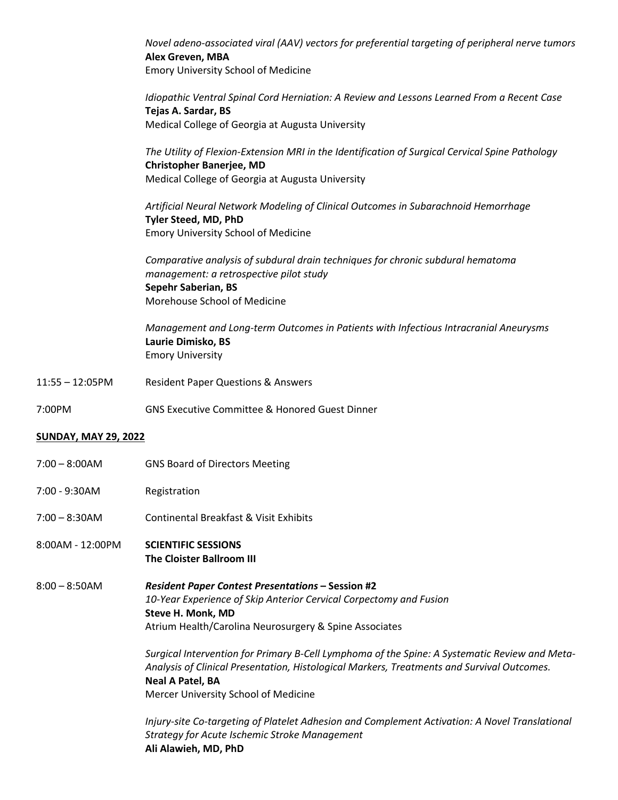*Novel adeno-associated viral (AAV) vectors for preferential targeting of peripheral nerve tumors* **Alex Greven, MBA** Emory University School of Medicine

*Idiopathic Ventral Spinal Cord Herniation: A Review and Lessons Learned From a Recent Case* **Tejas A. Sardar, BS** Medical College of Georgia at Augusta University

*The Utility of Flexion-Extension MRI in the Identification of Surgical Cervical Spine Pathology* **Christopher Banerjee, MD** Medical College of Georgia at Augusta University

*Artificial Neural Network Modeling of Clinical Outcomes in Subarachnoid Hemorrhage* **Tyler Steed, MD, PhD** Emory University School of Medicine

*Comparative analysis of subdural drain techniques for chronic subdural hematoma management: a retrospective pilot study* **Sepehr Saberian, BS** Morehouse School of Medicine

*Management and Long-term Outcomes in Patients with Infectious Intracranial Aneurysms* **Laurie Dimisko, BS** Emory University

11:55 – 12:05PM Resident Paper Questions & Answers

7:00PM GNS Executive Committee & Honored Guest Dinner

## **SUNDAY, MAY 29, 2022**

- 7:00 8:00AM GNS Board of Directors Meeting
- 7:00 9:30AM Registration
- 7:00 8:30AM Continental Breakfast & Visit Exhibits
- 8:00AM 12:00PM **SCIENTIFIC SESSIONS The Cloister Ballroom III**

8:00 – 8:50AM *Resident Paper Contest Presentations* **– Session #2** *10-Year Experience of Skip Anterior Cervical Corpectomy and Fusion* **Steve H. Monk, MD** Atrium Health/Carolina Neurosurgery & Spine Associates

> *Surgical Intervention for Primary B-Cell Lymphoma of the Spine: A Systematic Review and Meta-Analysis of Clinical Presentation, Histological Markers, Treatments and Survival Outcomes.* **Neal A Patel, BA** Mercer University School of Medicine

> *Injury-site Co-targeting of Platelet Adhesion and Complement Activation: A Novel Translational Strategy for Acute Ischemic Stroke Management* **Ali Alawieh, MD, PhD**